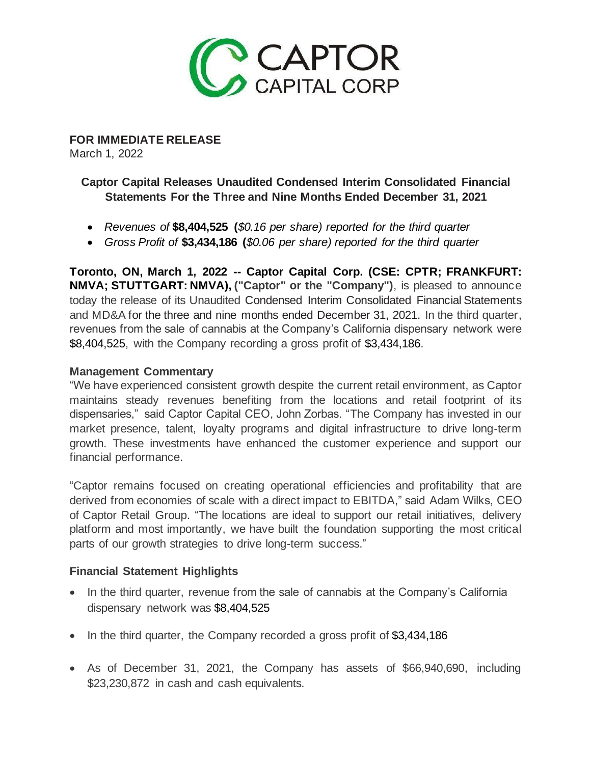

**FOR IMMEDIATE RELEASE** March 1, 2022

# **Captor Capital Releases Unaudited Condensed Interim Consolidated Financial Statements For the Three and Nine Months Ended December 31, 2021**

- *Revenues of* **\$8,404,525 (***\$0.16 per share) reported for the third quarter*
- *Gross Profit of* **\$3,434,186 (***\$0.06 per share) reported for the third quarter*

**Toronto, ON, March 1, 2022 -- Captor Capital Corp. (CSE: CPTR; FRANKFURT: NMVA; STUTTGART: NMVA), ("Captor" or the "Company")**, is pleased to announce today the release of its Unaudited Condensed Interim Consolidated Financial Statements and MD&A for the three and nine months ended December 31, 2021. In the third quarter, revenues from the sale of cannabis at the Company's California dispensary network were \$8,404,525, with the Company recording a gross profit of \$3,434,186.

#### **Management Commentary**

"We have experienced consistent growth despite the current retail environment, as Captor maintains steady revenues benefiting from the locations and retail footprint of its dispensaries," said Captor Capital CEO, John Zorbas. "The Company has invested in our market presence, talent, loyalty programs and digital infrastructure to drive long-term growth. These investments have enhanced the customer experience and support our financial performance.

"Captor remains focused on creating operational efficiencies and profitability that are derived from economies of scale with a direct impact to EBITDA," said Adam Wilks, CEO of Captor Retail Group. "The locations are ideal to support our retail initiatives, delivery platform and most importantly, we have built the foundation supporting the most critical parts of our growth strategies to drive long-term success."

# **Financial Statement Highlights**

- In the third quarter, revenue from the sale of cannabis at the Company's California dispensary network was \$8,404,525
- In the third quarter, the Company recorded a gross profit of \$3,434,186
- As of December 31, 2021, the Company has assets of \$66,940,690, including \$23,230,872 in cash and cash equivalents.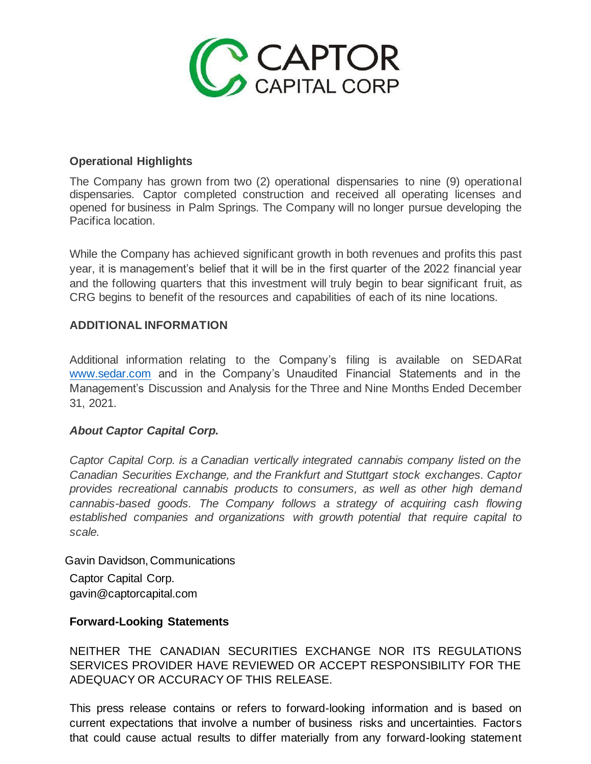

# **Operational Highlights**

The Company has grown from two (2) operational dispensaries to nine (9) operational dispensaries. Captor completed construction and received all operating licenses and opened for business in Palm Springs. The Company will no longer pursue developing the Pacifica location.

While the Company has achieved significant growth in both revenues and profits this past year, it is management's belief that it will be in the first quarter of the 2022 financial year and the following quarters that this investment will truly begin to bear significant fruit, as CRG begins to benefit of the resources and capabilities of each of its nine locations.

# **ADDITIONAL INFORMATION**

Additional information relating to the Company's filing is available on SEDARat [www.sedar.com](http://www.sedar.com/) and in the Company's Unaudited Financial Statements and in the Management's Discussion and Analysis for the Three and Nine Months Ended December 31, 2021.

# *About Captor Capital Corp.*

*Captor Capital Corp. is a Canadian vertically integrated cannabis company listed on the Canadian Securities Exchange, and the Frankfurt and Stuttgart stock exchanges. Captor provides recreational cannabis products to consumers, as well as other high demand cannabis-based goods. The Company follows a strategy of acquiring cash flowing established companies and organizations with growth potential that require capital to scale.*

Gavin Davidson,Communications Captor Capital Corp. [gavin@captorcapital.com](mailto:gavin@captorcapital.com)

# **Forward-Looking Statements**

NEITHER THE CANADIAN SECURITIES EXCHANGE NOR ITS REGULATIONS SERVICES PROVIDER HAVE REVIEWED OR ACCEPT RESPONSIBILITY FOR THE ADEQUACY OR ACCURACY OF THIS RELEASE.

This press release contains or refers to forward-looking information and is based on current expectations that involve a number of business risks and uncertainties. Factors that could cause actual results to differ materially from any forward-looking statement